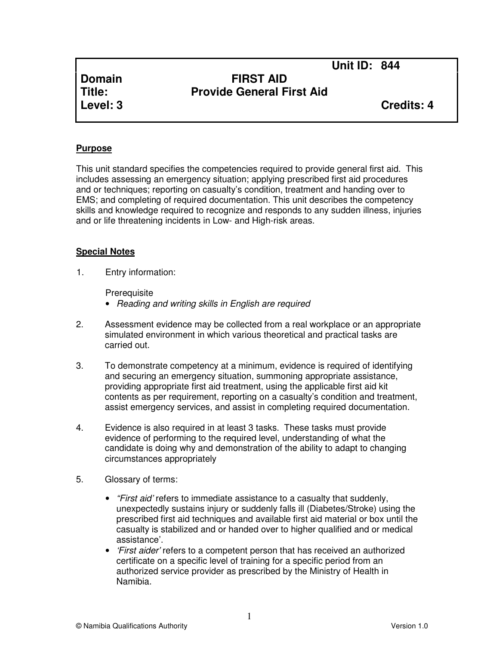**Unit ID: 844** 

# **Domain FIRST AID Title: Provide General First Aid**

**Level: 3 Credits: 4**

#### **Purpose**

This unit standard specifies the competencies required to provide general first aid. This includes assessing an emergency situation; applying prescribed first aid procedures and or techniques; reporting on casualty's condition, treatment and handing over to EMS; and completing of required documentation. This unit describes the competency skills and knowledge required to recognize and responds to any sudden illness, injuries and or life threatening incidents in Low- and High-risk areas.

#### **Special Notes**

1. Entry information:

**Prerequisite** 

- Reading and writing skills in English are required
- 2. Assessment evidence may be collected from a real workplace or an appropriate simulated environment in which various theoretical and practical tasks are carried out.
- 3. To demonstrate competency at a minimum, evidence is required of identifying and securing an emergency situation, summoning appropriate assistance, providing appropriate first aid treatment, using the applicable first aid kit contents as per requirement, reporting on a casualty's condition and treatment, assist emergency services, and assist in completing required documentation.
- 4. Evidence is also required in at least 3 tasks. These tasks must provide evidence of performing to the required level, understanding of what the candidate is doing why and demonstration of the ability to adapt to changing circumstances appropriately
- 5. Glossary of terms:
	- "First aid' refers to immediate assistance to a casualty that suddenly, unexpectedly sustains injury or suddenly falls ill (Diabetes/Stroke) using the prescribed first aid techniques and available first aid material or box until the casualty is stabilized and or handed over to higher qualified and or medical assistance'.
	- *First aider'* refers to a competent person that has received an authorized certificate on a specific level of training for a specific period from an authorized service provider as prescribed by the Ministry of Health in Namibia.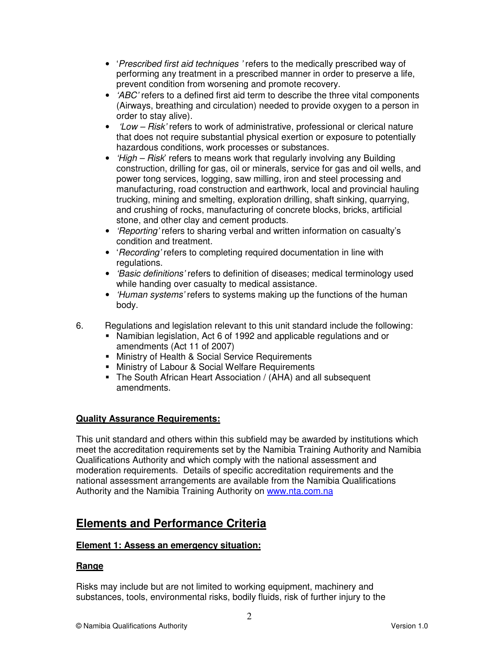- 'Prescribed first aid techniques' refers to the medically prescribed way of performing any treatment in a prescribed manner in order to preserve a life, prevent condition from worsening and promote recovery.
- $\bullet$  'ABC' refers to a defined first aid term to describe the three vital components (Airways, breathing and circulation) needed to provide oxygen to a person in order to stay alive).
- *'Low Risk'* refers to work of administrative, professional or clerical nature that does not require substantial physical exertion or exposure to potentially hazardous conditions, work processes or substances.
- *High Risk'* refers to means work that regularly involving any Building construction, drilling for gas, oil or minerals, service for gas and oil wells, and power tong services, logging, saw milling, iron and steel processing and manufacturing, road construction and earthwork, local and provincial hauling trucking, mining and smelting, exploration drilling, shaft sinking, quarrying, and crushing of rocks, manufacturing of concrete blocks, bricks, artificial stone, and other clay and cement products.
- 'Reporting' refers to sharing verbal and written information on casualty's condition and treatment.
- 'Recording' refers to completing required documentation in line with regulations.
- *'Basic definitions'* refers to definition of diseases; medical terminology used while handing over casualty to medical assistance.
- *Human systems'* refers to systems making up the functions of the human body.
- 6. Regulations and legislation relevant to this unit standard include the following:
	- Namibian legislation, Act 6 of 1992 and applicable regulations and or amendments (Act 11 of 2007)
	- **Ninistry of Health & Social Service Requirements**
	- **Ministry of Labour & Social Welfare Requirements**
	- The South African Heart Association / (AHA) and all subsequent amendments.

# **Quality Assurance Requirements:**

This unit standard and others within this subfield may be awarded by institutions which meet the accreditation requirements set by the Namibia Training Authority and Namibia Qualifications Authority and which comply with the national assessment and moderation requirements. Details of specific accreditation requirements and the national assessment arrangements are available from the Namibia Qualifications Authority and the Namibia Training Authority on www.nta.com.na

# **Elements and Performance Criteria**

# **Element 1: Assess an emergency situation:**

#### **Range**

Risks may include but are not limited to working equipment, machinery and substances, tools, environmental risks, bodily fluids, risk of further injury to the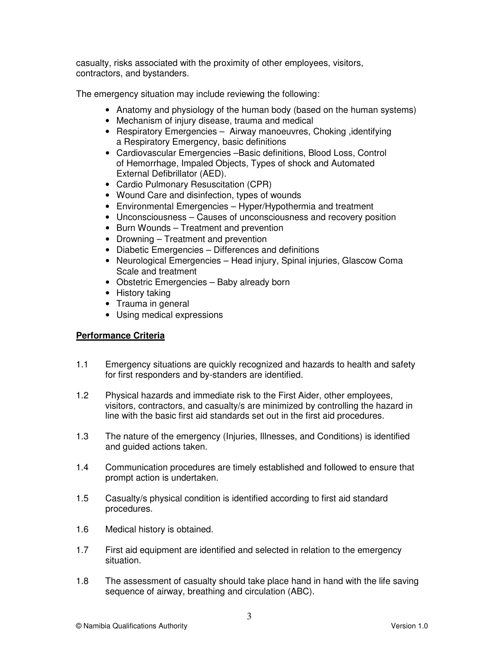casualty, risks associated with the proximity of other employees, visitors, contractors, and bystanders.

The emergency situation may include reviewing the following:

- Anatomy and physiology of the human body (based on the human systems)
- Mechanism of injury disease, trauma and medical
- Respiratory Emergencies Airway manoeuvres, Choking , identifying a Respiratory Emergency, basic definitions
- Cardiovascular Emergencies –Basic definitions, Blood Loss, Control of Hemorrhage, Impaled Objects, Types of shock and Automated External Defibrillator (AED).
- Cardio Pulmonary Resuscitation (CPR)
- Wound Care and disinfection, types of wounds
- Environmental Emergencies Hyper/Hypothermia and treatment
- Unconsciousness Causes of unconsciousness and recovery position
- Burn Wounds Treatment and prevention
- Drowning Treatment and prevention
- Diabetic Emergencies Differences and definitions
- Neurological Emergencies Head injury, Spinal injuries, Glascow Coma Scale and treatment
- Obstetric Emergencies Baby already born
- History taking
- Trauma in general
- Using medical expressions

# **Performance Criteria**

- 1.1 Emergency situations are quickly recognized and hazards to health and safety for first responders and by-standers are identified.
- 1.2 Physical hazards and immediate risk to the First Aider, other employees, visitors, contractors, and casualty/s are minimized by controlling the hazard in line with the basic first aid standards set out in the first aid procedures.
- 1.3 The nature of the emergency (Injuries, Illnesses, and Conditions) is identified and guided actions taken.
- 1.4 Communication procedures are timely established and followed to ensure that prompt action is undertaken.
- 1.5 Casualty/s physical condition is identified according to first aid standard procedures.
- 1.6 Medical history is obtained.
- 1.7 First aid equipment are identified and selected in relation to the emergency situation.
- 1.8 The assessment of casualty should take place hand in hand with the life saving sequence of airway, breathing and circulation (ABC).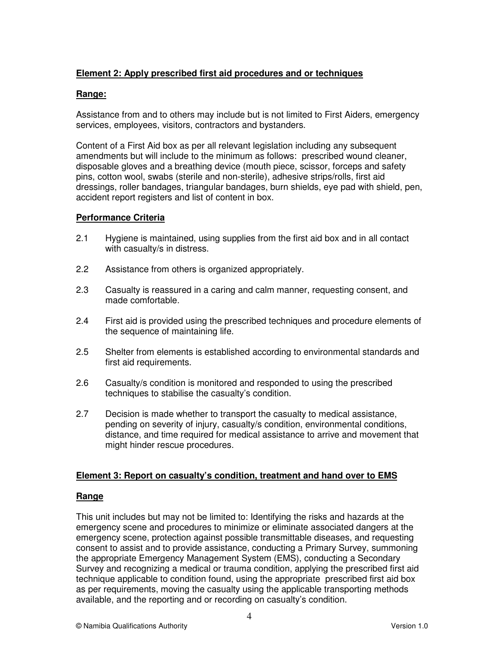# **Element 2: Apply prescribed first aid procedures and or techniques**

#### **Range:**

Assistance from and to others may include but is not limited to First Aiders, emergency services, employees, visitors, contractors and bystanders.

Content of a First Aid box as per all relevant legislation including any subsequent amendments but will include to the minimum as follows: prescribed wound cleaner, disposable gloves and a breathing device (mouth piece, scissor, forceps and safety pins, cotton wool, swabs (sterile and non-sterile), adhesive strips/rolls, first aid dressings, roller bandages, triangular bandages, burn shields, eye pad with shield, pen, accident report registers and list of content in box.

#### **Performance Criteria**

- 2.1 Hygiene is maintained, using supplies from the first aid box and in all contact with casualty/s in distress.
- 2.2 Assistance from others is organized appropriately.
- 2.3 Casualty is reassured in a caring and calm manner, requesting consent, and made comfortable.
- 2.4 First aid is provided using the prescribed techniques and procedure elements of the sequence of maintaining life.
- 2.5 Shelter from elements is established according to environmental standards and first aid requirements.
- 2.6 Casualty/s condition is monitored and responded to using the prescribed techniques to stabilise the casualty's condition.
- 2.7 Decision is made whether to transport the casualty to medical assistance, pending on severity of injury, casualty/s condition, environmental conditions, distance, and time required for medical assistance to arrive and movement that might hinder rescue procedures.

# **Element 3: Report on casualty's condition, treatment and hand over to EMS**

# **Range**

This unit includes but may not be limited to: Identifying the risks and hazards at the emergency scene and procedures to minimize or eliminate associated dangers at the emergency scene, protection against possible transmittable diseases, and requesting consent to assist and to provide assistance, conducting a Primary Survey, summoning the appropriate Emergency Management System (EMS), conducting a Secondary Survey and recognizing a medical or trauma condition, applying the prescribed first aid technique applicable to condition found, using the appropriate prescribed first aid box as per requirements, moving the casualty using the applicable transporting methods available, and the reporting and or recording on casualty's condition.